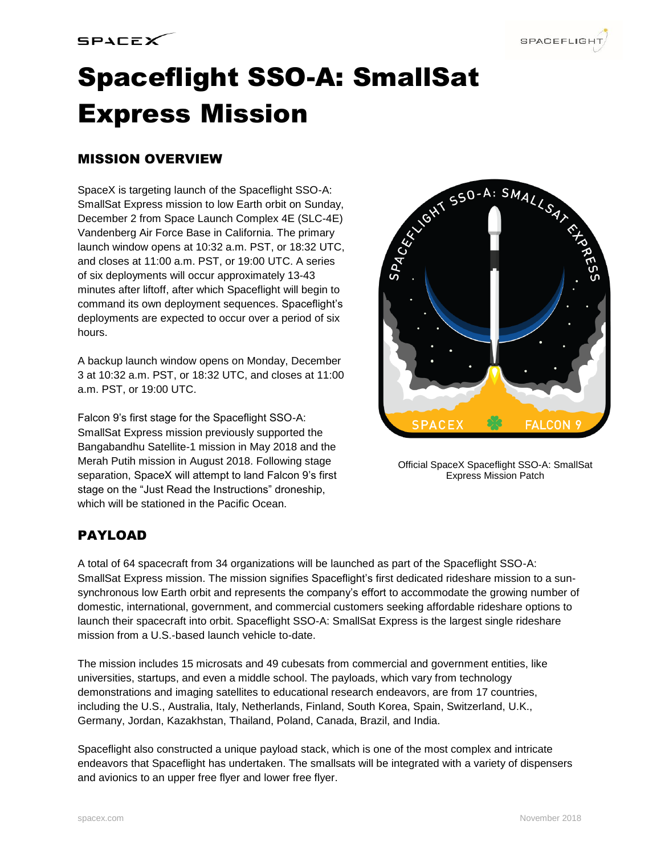

# Spaceflight SSO-A: SmallSat Express Mission

# MISSION OVERVIEW

SpaceX is targeting launch of the Spaceflight SSO-A: SmallSat Express mission to low Earth orbit on Sunday, December 2 from Space Launch Complex 4E (SLC-4E) Vandenberg Air Force Base in California. The primary launch window opens at 10:32 a.m. PST, or 18:32 UTC, and closes at 11:00 a.m. PST, or 19:00 UTC. A series of six deployments will occur approximately 13-43 minutes after liftoff, after which Spaceflight will begin to command its own deployment sequences. Spaceflight's deployments are expected to occur over a period of six hours.

A backup launch window opens on Monday, December 3 at 10:32 a.m. PST, or 18:32 UTC, and closes at 11:00 a.m. PST, or 19:00 UTC.

Falcon 9's first stage for the Spaceflight SSO-A: SmallSat Express mission previously supported the Bangabandhu Satellite-1 mission in May 2018 and the Merah Putih mission in August 2018. Following stage separation, SpaceX will attempt to land Falcon 9's first stage on the "Just Read the Instructions" droneship, which will be stationed in the Pacific Ocean.



Official SpaceX Spaceflight SSO-A: SmallSat Express Mission Patch

# PAYLOAD

A total of 64 spacecraft from 34 organizations will be launched as part of the Spaceflight SSO-A: SmallSat Express mission. The mission signifies Spaceflight's first dedicated rideshare mission to a sunsynchronous low Earth orbit and represents the company's effort to accommodate the growing number of domestic, international, government, and commercial customers seeking affordable rideshare options to launch their spacecraft into orbit. Spaceflight SSO-A: SmallSat Express is the largest single rideshare mission from a U.S.-based launch vehicle to-date.

The mission includes 15 microsats and 49 cubesats from commercial and government entities, like universities, startups, and even a middle school. The payloads, which vary from technology demonstrations and imaging satellites to educational research endeavors, are from 17 countries, including the U.S., Australia, Italy, Netherlands, Finland, South Korea, Spain, Switzerland, U.K., Germany, Jordan, Kazakhstan, Thailand, Poland, Canada, Brazil, and India.

Spaceflight also constructed a unique payload stack, which is one of the most complex and intricate endeavors that Spaceflight has undertaken. The smallsats will be integrated with a variety of dispensers and avionics to an upper free flyer and lower free flyer.